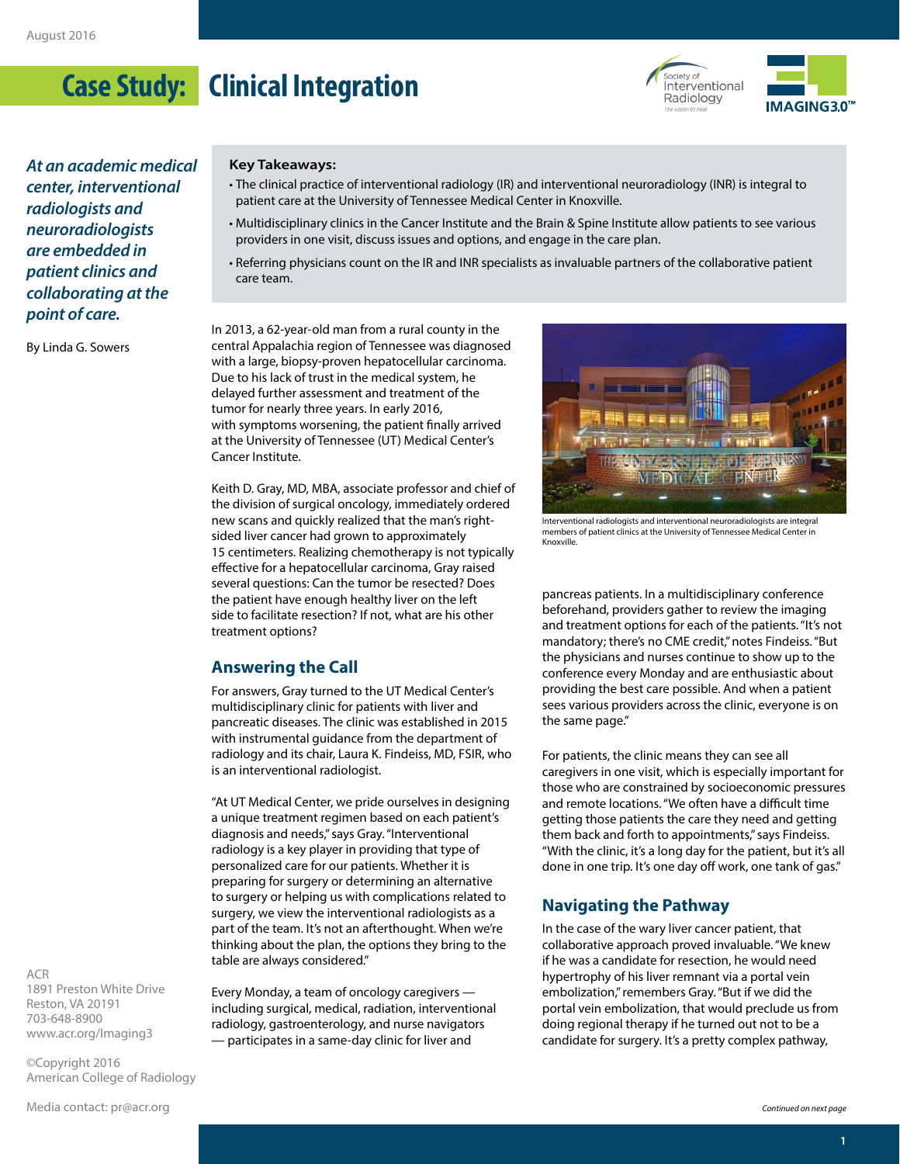# **Case Study: Clinical Integration**





*At an academic medical center, interventional radiologists and neuroradiologists are embedded in patient clinics and collaborating at the point of care.*

By Linda G. Sowers

#### **Key Takeaways:**

- The clinical practice of interventional radiology (IR) and interventional neuroradiology (INR) is integral to patient care at the University of Tennessee Medical Center in Knoxville.
- Multidisciplinary clinics in the Cancer Institute and the Brain & Spine Institute allow patients to see various providers in one visit, discuss issues and options, and engage in the care plan.
- Referring physicians count on the IR and INR specialists as invaluable partners of the collaborative patient care team.

In 2013, a 62-year-old man from a rural county in the central Appalachia region of Tennessee was diagnosed with a large, biopsy-proven hepatocellular carcinoma. Due to his lack of trust in the medical system, he delayed further assessment and treatment of the tumor for nearly three years. In early 2016, with symptoms worsening, the patient finally arrived at the University of Tennessee (UT) Medical Center's Cancer Institute.

Keith D. Gray, MD, MBA, associate professor and chief of the division of surgical oncology, immediately ordered new scans and quickly realized that the man's rightsided liver cancer had grown to approximately 15 centimeters. Realizing chemotherapy is not typically effective for a hepatocellular carcinoma, Gray raised several questions: Can the tumor be resected? Does the patient have enough healthy liver on the left side to facilitate resection? If not, what are his other treatment options?

#### **Answering the Call**

For answers, Gray turned to the UT Medical Center's multidisciplinary clinic for patients with liver and pancreatic diseases. The clinic was established in 2015 with instrumental guidance from the department of radiology and its chair, Laura K. Findeiss, MD, FSIR, who is an interventional radiologist.

"At UT Medical Center, we pride ourselves in designing a unique treatment regimen based on each patient's diagnosis and needs," says Gray. "Interventional radiology is a key player in providing that type of personalized care for our patients. Whether it is preparing for surgery or determining an alternative to surgery or helping us with complications related to surgery, we view the interventional radiologists as a part of the team. It's not an afterthought. When we're thinking about the plan, the options they bring to the table are always considered."

Every Monday, a team of oncology caregivers including surgical, medical, radiation, interventional radiology, gastroenterology, and nurse navigators — participates in a same-day clinic for liver and



Interventional radiologists and interventional neuroradiologists are integral members of patient clinics at the University of Tennessee Medical Center in Knoxville.

pancreas patients. In a multidisciplinary conference beforehand, providers gather to review the imaging and treatment options for each of the patients. "It's not mandatory; there's no CME credit," notes Findeiss. "But the physicians and nurses continue to show up to the conference every Monday and are enthusiastic about providing the best care possible. And when a patient sees various providers across the clinic, everyone is on the same page."

For patients, the clinic means they can see all caregivers in one visit, which is especially important for those who are constrained by socioeconomic pressures and remote locations. "We often have a difficult time getting those patients the care they need and getting them back and forth to appointments," says Findeiss. "With the clinic, it's a long day for the patient, but it's all done in one trip. It's one day off work, one tank of gas."

### **Navigating the Pathway**

In the case of the wary liver cancer patient, that collaborative approach proved invaluable. "We knew if he was a candidate for resection, he would need hypertrophy of his liver remnant via a portal vein embolization," remembers Gray. "But if we did the portal vein embolization, that would preclude us from doing regional therapy if he turned out not to be a candidate for surgery. It's a pretty complex pathway,

ACR 1891 Preston White Drive Reston, VA 20191 703-648-8900 [www.acr.org/Imaging3](http://www.acr.org/Imaging3)

©Copyright 2016 American College of Radiology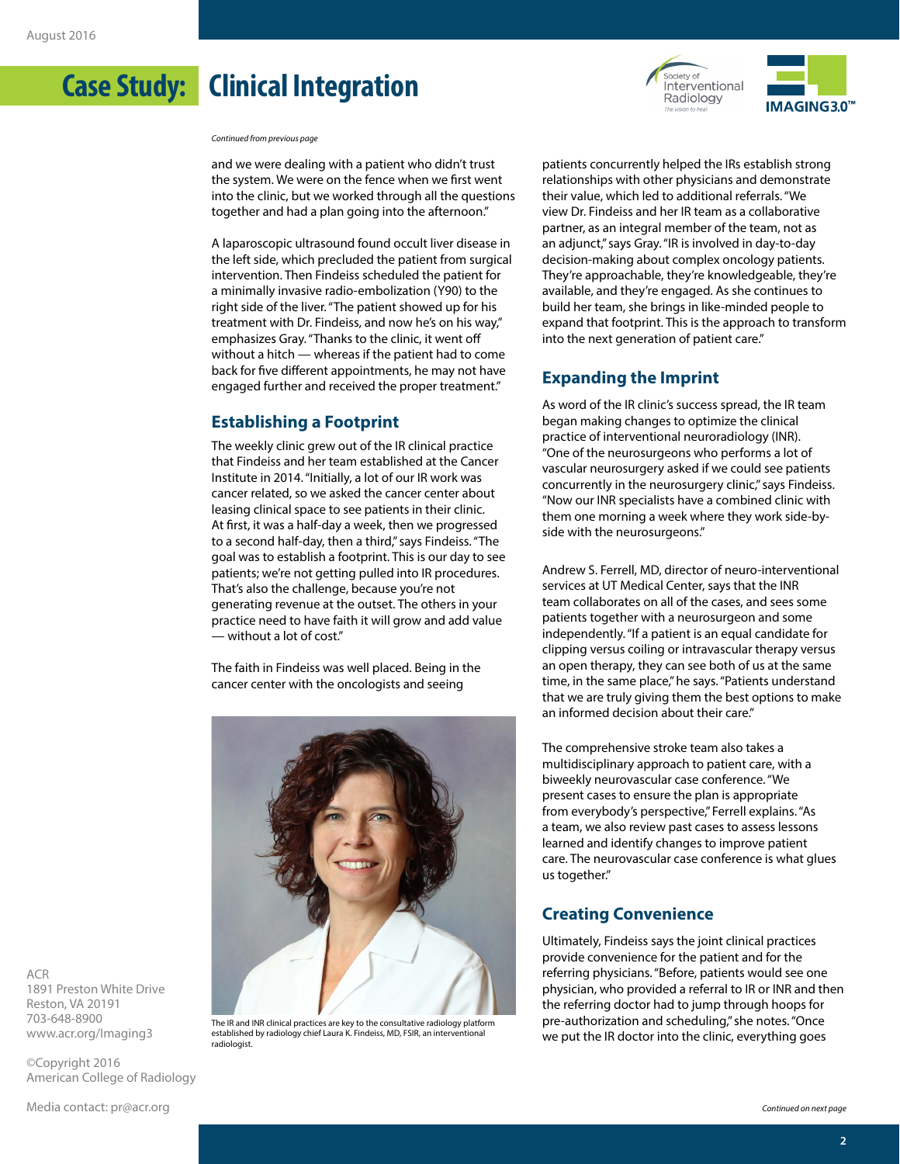## **Case Study: Clinical Integration**

*Continued from previous page*

and we were dealing with a patient who didn't trust the system. We were on the fence when we first went into the clinic, but we worked through all the questions together and had a plan going into the afternoon."

A laparoscopic ultrasound found occult liver disease in the left side, which precluded the patient from surgical intervention. Then Findeiss scheduled the patient for a minimally invasive radio-embolization (Y90) to the right side of the liver. "The patient showed up for his treatment with Dr. Findeiss, and now he's on his way," emphasizes Gray. "Thanks to the clinic, it went off without a hitch — whereas if the patient had to come back for five different appointments, he may not have engaged further and received the proper treatment."

### **Establishing a Footprint**

The weekly clinic grew out of the IR clinical practice that Findeiss and her team established at the Cancer Institute in 2014. "Initially, a lot of our IR work was cancer related, so we asked the cancer center about leasing clinical space to see patients in their clinic. At first, it was a half-day a week, then we progressed to a second half-day, then a third," says Findeiss. "The goal was to establish a footprint. This is our day to see patients; we're not getting pulled into IR procedures. That's also the challenge, because you're not generating revenue at the outset. The others in your practice need to have faith it will grow and add value — without a lot of cost."

The faith in Findeiss was well placed. Being in the cancer center with the oncologists and seeing



The IR and INR clinical practices are key to the consultative radiology platform established by radiology chief Laura K. Findeiss, MD, FSIR, an interventional radiologist.



Society of Interventional Radiology

IMAGING3.0<sup>™</sup>

#### **Expanding the Imprint**

As word of the IR clinic's success spread, the IR team began making changes to optimize the clinical practice of interventional neuroradiology (INR). "One of the neurosurgeons who performs a lot of vascular neurosurgery asked if we could see patients concurrently in the neurosurgery clinic," says Findeiss. "Now our INR specialists have a combined clinic with them one morning a week where they work side-byside with the neurosurgeons."

Andrew S. Ferrell, MD, director of neuro-interventional services at UT Medical Center, says that the INR team collaborates on all of the cases, and sees some patients together with a neurosurgeon and some independently. "If a patient is an equal candidate for clipping versus coiling or intravascular therapy versus an open therapy, they can see both of us at the same time, in the same place," he says. "Patients understand that we are truly giving them the best options to make an informed decision about their care."

The comprehensive stroke team also takes a multidisciplinary approach to patient care, with a biweekly neurovascular case conference. "We present cases to ensure the plan is appropriate from everybody's perspective," Ferrell explains. "As a team, we also review past cases to assess lessons learned and identify changes to improve patient care. The neurovascular case conference is what glues us together."

### **Creating Convenience**

Ultimately, Findeiss says the joint clinical practices provide convenience for the patient and for the referring physicians. "Before, patients would see one physician, who provided a referral to IR or INR and then the referring doctor had to jump through hoops for pre-authorization and scheduling," she notes. "Once we put the IR doctor into the clinic, everything goes

ACR 1891 Preston White Drive Reston, VA 20191 703-648-8900 [www.acr.org/Imaging3](http://www.acr.org/Imaging3)

©Copyright 2016 American College of Radiology